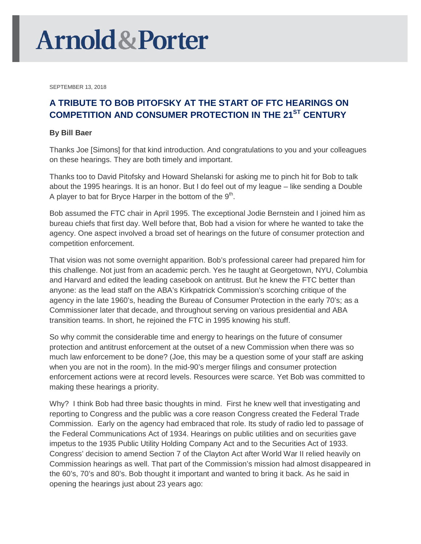## **Arnold & Porter**

SEPTEMBER 13, 2018

## **A TRIBUTE TO BOB PITOFSKY AT THE START OF FTC HEARINGS ON COMPETITION AND CONSUMER PROTECTION IN THE 21ST CENTURY**

## **By Bill Baer**

Thanks Joe [Simons] for that kind introduction. And congratulations to you and your colleagues on these hearings. They are both timely and important.

Thanks too to David Pitofsky and Howard Shelanski for asking me to pinch hit for Bob to talk about the 1995 hearings. It is an honor. But I do feel out of my league – like sending a Double A player to bat for Bryce Harper in the bottom of the  $9<sup>th</sup>$ .

Bob assumed the FTC chair in April 1995. The exceptional Jodie Bernstein and I joined him as bureau chiefs that first day. Well before that, Bob had a vision for where he wanted to take the agency. One aspect involved a broad set of hearings on the future of consumer protection and competition enforcement.

That vision was not some overnight apparition. Bob's professional career had prepared him for this challenge. Not just from an academic perch. Yes he taught at Georgetown, NYU, Columbia and Harvard and edited the leading casebook on antitrust. But he knew the FTC better than anyone: as the lead staff on the ABA's Kirkpatrick Commission's scorching critique of the agency in the late 1960's, heading the Bureau of Consumer Protection in the early 70's; as a Commissioner later that decade, and throughout serving on various presidential and ABA transition teams. In short, he rejoined the FTC in 1995 knowing his stuff.

So why commit the considerable time and energy to hearings on the future of consumer protection and antitrust enforcement at the outset of a new Commission when there was so much law enforcement to be done? (Joe, this may be a question some of your staff are asking when you are not in the room). In the mid-90's merger filings and consumer protection enforcement actions were at record levels. Resources were scarce. Yet Bob was committed to making these hearings a priority.

Why? I think Bob had three basic thoughts in mind. First he knew well that investigating and reporting to Congress and the public was a core reason Congress created the Federal Trade Commission. Early on the agency had embraced that role. Its study of radio led to passage of the Federal Communications Act of 1934. Hearings on public utilities and on securities gave impetus to the 1935 Public Utility Holding Company Act and to the Securities Act of 1933. Congress' decision to amend Section 7 of the Clayton Act after World War II relied heavily on Commission hearings as well. That part of the Commission's mission had almost disappeared in the 60's, 70's and 80's. Bob thought it important and wanted to bring it back. As he said in opening the hearings just about 23 years ago: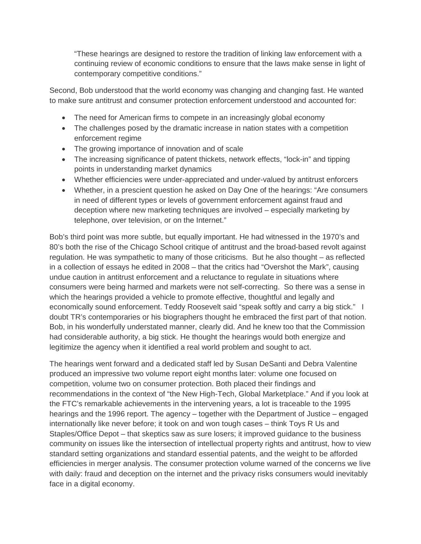"These hearings are designed to restore the tradition of linking law enforcement with a continuing review of economic conditions to ensure that the laws make sense in light of contemporary competitive conditions."

Second, Bob understood that the world economy was changing and changing fast. He wanted to make sure antitrust and consumer protection enforcement understood and accounted for:

- The need for American firms to compete in an increasingly global economy
- The challenges posed by the dramatic increase in nation states with a competition enforcement regime
- The growing importance of innovation and of scale
- The increasing significance of patent thickets, network effects, "lock-in" and tipping points in understanding market dynamics
- Whether efficiencies were under-appreciated and under-valued by antitrust enforcers
- Whether, in a prescient question he asked on Day One of the hearings: "Are consumers in need of different types or levels of government enforcement against fraud and deception where new marketing techniques are involved – especially marketing by telephone, over television, or on the Internet."

Bob's third point was more subtle, but equally important. He had witnessed in the 1970's and 80's both the rise of the Chicago School critique of antitrust and the broad-based revolt against regulation. He was sympathetic to many of those criticisms. But he also thought – as reflected in a collection of essays he edited in 2008 – that the critics had "Overshot the Mark", causing undue caution in antitrust enforcement and a reluctance to regulate in situations where consumers were being harmed and markets were not self-correcting. So there was a sense in which the hearings provided a vehicle to promote effective, thoughtful and legally and economically sound enforcement. Teddy Roosevelt said "speak softly and carry a big stick." I doubt TR's contemporaries or his biographers thought he embraced the first part of that notion. Bob, in his wonderfully understated manner, clearly did. And he knew too that the Commission had considerable authority, a big stick. He thought the hearings would both energize and legitimize the agency when it identified a real world problem and sought to act.

The hearings went forward and a dedicated staff led by Susan DeSanti and Debra Valentine produced an impressive two volume report eight months later: volume one focused on competition, volume two on consumer protection. Both placed their findings and recommendations in the context of "the New High-Tech, Global Marketplace." And if you look at the FTC's remarkable achievements in the intervening years, a lot is traceable to the 1995 hearings and the 1996 report. The agency – together with the Department of Justice – engaged internationally like never before; it took on and won tough cases – think Toys R Us and Staples/Office Depot – that skeptics saw as sure losers; it improved guidance to the business community on issues like the intersection of intellectual property rights and antitrust, how to view standard setting organizations and standard essential patents, and the weight to be afforded efficiencies in merger analysis. The consumer protection volume warned of the concerns we live with daily: fraud and deception on the internet and the privacy risks consumers would inevitably face in a digital economy.